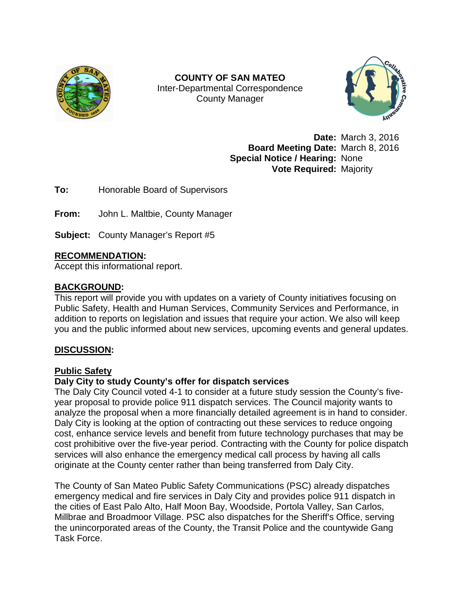

**COUNTY OF SAN MATEO** Inter-Departmental Correspondence County Manager



**Date:** March 3, 2016 **Board Meeting Date:** March 8, 2016 **Special Notice / Hearing:** None **Vote Required:** Majority

**To:** Honorable Board of Supervisors

**From:** John L. Maltbie, County Manager

**Subject:** County Manager's Report #5

# **RECOMMENDATION:**

Accept this informational report.

# **BACKGROUND:**

This report will provide you with updates on a variety of County initiatives focusing on Public Safety, Health and Human Services, Community Services and Performance, in addition to reports on legislation and issues that require your action. We also will keep you and the public informed about new services, upcoming events and general updates.

# **DISCUSSION:**

# **Public Safety**

# **Daly City to study County's offer for dispatch services**

The Daly City Council voted 4-1 to consider at a future study session the County's fiveyear proposal to provide police 911 dispatch services. The Council majority wants to analyze the proposal when a more financially detailed agreement is in hand to consider. Daly City is looking at the option of contracting out these services to reduce ongoing cost, enhance service levels and benefit from future technology purchases that may be cost prohibitive over the five-year period. Contracting with the County for police dispatch services will also enhance the emergency medical call process by having all calls originate at the County center rather than being transferred from Daly City.

The County of San Mateo Public Safety Communications (PSC) already dispatches emergency medical and fire services in Daly City and provides police 911 dispatch in the cities of East Palo Alto, Half Moon Bay, Woodside, Portola Valley, San Carlos, Millbrae and Broadmoor Village. PSC also dispatches for the Sheriff's Office, serving the unincorporated areas of the County, the Transit Police and the countywide Gang Task Force.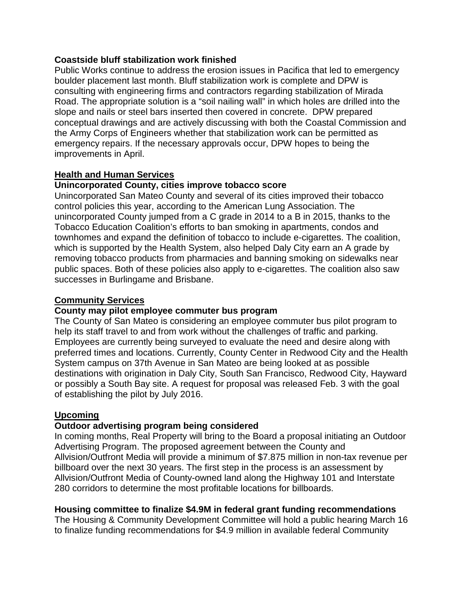#### **Coastside bluff stabilization work finished**

Public Works continue to address the erosion issues in Pacifica that led to emergency boulder placement last month. Bluff stabilization work is complete and DPW is consulting with engineering firms and contractors regarding stabilization of Mirada Road. The appropriate solution is a "soil nailing wall" in which holes are drilled into the slope and nails or steel bars inserted then covered in concrete. DPW prepared conceptual drawings and are actively discussing with both the Coastal Commission and the Army Corps of Engineers whether that stabilization work can be permitted as emergency repairs. If the necessary approvals occur, DPW hopes to being the improvements in April.

### **Health and Human Services**

### **Unincorporated County, cities improve tobacco score**

Unincorporated San Mateo County and several of its cities improved their tobacco control policies this year, according to the American Lung Association. The unincorporated County jumped from a C grade in 2014 to a B in 2015, thanks to the Tobacco Education Coalition's efforts to ban smoking in apartments, condos and townhomes and expand the definition of tobacco to include e-cigarettes. The coalition, which is supported by the Health System, also helped Daly City earn an A grade by removing tobacco products from pharmacies and banning smoking on sidewalks near public spaces. Both of these policies also apply to e-cigarettes. The coalition also saw successes in Burlingame and Brisbane.

### **Community Services**

#### **County may pilot employee commuter bus program**

The County of San Mateo is considering an employee commuter bus pilot program to help its staff travel to and from work without the challenges of traffic and parking. Employees are currently being surveyed to evaluate the need and desire along with preferred times and locations. Currently, County Center in Redwood City and the Health System campus on 37th Avenue in San Mateo are being looked at as possible destinations with origination in Daly City, South San Francisco, Redwood City, Hayward or possibly a South Bay site. A request for proposal was released Feb. 3 with the goal of establishing the pilot by July 2016.

# **Upcoming**

# **Outdoor advertising program being considered**

In coming months, Real Property will bring to the Board a proposal initiating an Outdoor Advertising Program. The proposed agreement between the County and Allvision/Outfront Media will provide a minimum of \$7.875 million in non-tax revenue per billboard over the next 30 years. The first step in the process is an assessment by Allvision/Outfront Media of County-owned land along the Highway 101 and Interstate 280 corridors to determine the most profitable locations for billboards.

# **Housing committee to finalize \$4.9M in federal grant funding recommendations**

The Housing & Community Development Committee will hold a public hearing March 16 to finalize funding recommendations for \$4.9 million in available federal Community